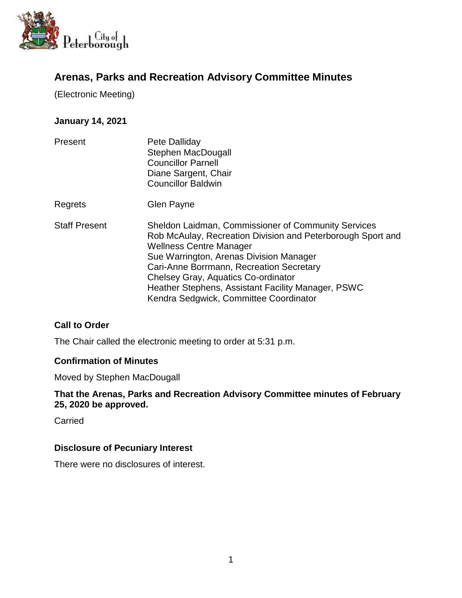

# **Arenas, Parks and Recreation Advisory Committee Minutes**

(Electronic Meeting)

## **January 14, 2021**

| Present              | Pete Dalliday<br>Stephen MacDougall<br><b>Councillor Parnell</b><br>Diane Sargent, Chair<br><b>Councillor Baldwin</b>                                                                                                                                                                                                                                                                     |
|----------------------|-------------------------------------------------------------------------------------------------------------------------------------------------------------------------------------------------------------------------------------------------------------------------------------------------------------------------------------------------------------------------------------------|
| Regrets              | Glen Payne                                                                                                                                                                                                                                                                                                                                                                                |
| <b>Staff Present</b> | <b>Sheldon Laidman, Commissioner of Community Services</b><br>Rob McAulay, Recreation Division and Peterborough Sport and<br><b>Wellness Centre Manager</b><br>Sue Warrington, Arenas Division Manager<br>Cari-Anne Borrmann, Recreation Secretary<br>Chelsey Gray, Aquatics Co-ordinator<br>Heather Stephens, Assistant Facility Manager, PSWC<br>Kendra Sedgwick, Committee Coordinator |

### **Call to Order**

The Chair called the electronic meeting to order at 5:31 p.m.

#### **Confirmation of Minutes**

Moved by Stephen MacDougall

**That the Arenas, Parks and Recreation Advisory Committee minutes of February 25, 2020 be approved.**

Carried

### **Disclosure of Pecuniary Interest**

There were no disclosures of interest.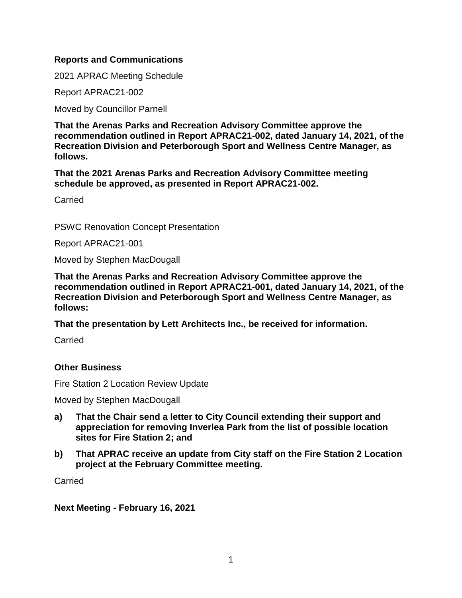#### **Reports and Communications**

2021 APRAC Meeting Schedule

Report APRAC21-002

Moved by Councillor Parnell

**That the Arenas Parks and Recreation Advisory Committee approve the recommendation outlined in Report APRAC21-002, dated January 14, 2021, of the Recreation Division and Peterborough Sport and Wellness Centre Manager, as follows.**

**That the 2021 Arenas Parks and Recreation Advisory Committee meeting schedule be approved, as presented in Report APRAC21-002.**

**Carried** 

PSWC Renovation Concept Presentation

Report APRAC21-001

Moved by Stephen MacDougall

**That the Arenas Parks and Recreation Advisory Committee approve the recommendation outlined in Report APRAC21-001, dated January 14, 2021, of the Recreation Division and Peterborough Sport and Wellness Centre Manager, as follows:**

**That the presentation by Lett Architects Inc., be received for information.**

**Carried** 

### **Other Business**

Fire Station 2 Location Review Update

Moved by Stephen MacDougall

- **a) That the Chair send a letter to City Council extending their support and appreciation for removing Inverlea Park from the list of possible location sites for Fire Station 2; and**
- **b) That APRAC receive an update from City staff on the Fire Station 2 Location project at the February Committee meeting.**

**Carried** 

**Next Meeting - February 16, 2021**